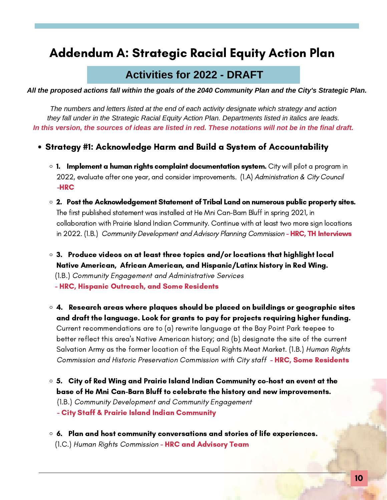# Addendum A: Strategic Racial Equity Action Plan

## **Activities for 2022 - DRAFT**

All the proposed actions fall within the goals of the 2040 Community Plan and the City's Strategic Plan.

*The numbers and letters listed at the end of each activity designate which strategy and action they fall under in the Strategic Racial Equity Action Plan. Departments listed in italics are leads.* In this version, the sources of ideas are listed in red. These notations will not be in the final draft.

#### Strategy #1: Acknowledge Harm and Build a System of Accountability

- $\circ$  1. Implement a human rights complaint documentation system. City will pilot a program in 2022, evaluate after one year, and consider improvements. (1.A) Administration & City Council -HRC
- 2. Post the Acknowledgement Statement of Tribal Land on numerous public property sites. The first published statement was installed at He Mni Can-Barn Bluff in spring 2021, in collaboration with Prairie Island Indian Community. Continue with at least two more sign locations in 2022. (1.B.) Community Development and Advisory Planning Commission - HRC, TH Interviews
- $\circ$  3. Produce videos on at least three topics and/or locations that highlight local Native American, African American, and Hispanic/Latinx history in Red Wing. (1.B.) Community Engagement and Administrative Services - HRC, Hispanic Outreach, and Some Residents
- $\circ$  4. Research areas where plaques should be placed on buildings or geographic sites and draft the language. Look for grants to pay for projects requiring higher funding. Current recommendations are to (a) rewrite language at the Bay Point Park teepee to better reflect this area's Native American history; and (b) designate the site of the current Salvation Army as the former location of the Equal Rights Meat Market. (1.B.) Human Rights Commission and Historic Preservation Commission with City staff - HRC, Some Residents
- 5. City of Red Wing and Prairie Island Indian Community co-host an event at the base of He Mni Can-Barn Bluff to celebrate the history and new improvements. (1.B.) Community Development and Community Engagement - City Staff & Prairie Island Indian Community
- $\circ$  6. Plan and host community conversations and stories of life experiences. (1.C.) Human Rights Commission - HRC and Advisory Team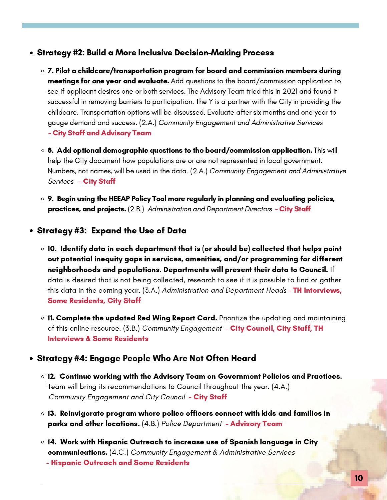- Strategy #2: Build a More Inclusive Decision-Making Process
	- $\circ$  7. Pilot a childcare/transportation program for board and commission members during meetings for one year and evaluate. Add questions to the board/commission application to see if applicant desires one or both services. The Advisory Team tried this in 2021 and found it successful in removing barriers to participation. The Y is a partner with the City in providing the childcare. Transportation options will be discussed. Evaluate after six months and one year to gauge demand and success. (2.A.) Community Engagement and Administrative Services - City Staff and Advisory Team
	- $\circ$  8. Add optional demographic questions to the board/commission application. This will help the City document how populations are or are not represented in local government. Numbers, not names, will be used in the data. (2.A.) Community Engagement and Administrative Services - City Staff
	- 9. Begin using the HEEAP Policy Tool more regularly in planning and evaluating policies, practices, and projects. (2.B.) Administration and Department Directors - City Staff

Strategy #3: Expand the Use of Data

- $\circ$  10. Identify data in each department that is (or should be) collected that helps point out potential inequity gaps in services, amenities, and/or programming for different neighborhoods and populations. Departments will present their data to Council. If data is desired that is not being collected, research to see if it is possible to find or gather this data in the coming year. (3.A.) Administration and Department Heads - **TH Interviews**, Some Residents, City Staff
- o 11. Complete the updated Red Wing Report Card. Prioritize the updating and maintaining of this online resource. (3.B.) Community Engagement - City Council, City Staff, TH Interviews & Some Residents

### Strategy #4: Engage People Who Are Not Often Heard

- 12. Continue working with the Advisory Team on Government Policies and Practices. Team will bring its recommendations to Council throughout the year. (4.A.) Community Engagement and City Council - City Staff
- 13. Reinvigorate program where police officers connect with kids and families in parks and other locations. (4.B.) Police Department - Advisory Team
- 14. Work with Hispanic Outreach to increase use of Spanish language in City communications. (4.C.) Community Engagement & Administrative Services
	- Hispanic Outreach and Some Residents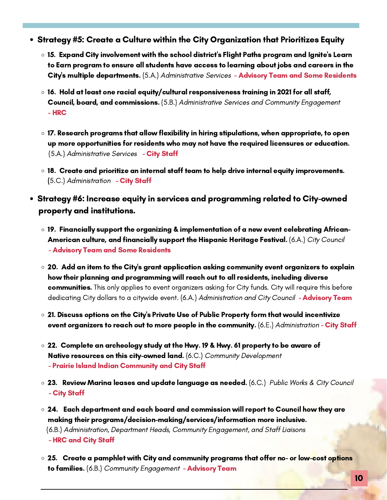- Strategy #5: Create a Culture within the City Organization that Prioritizes Equity
	- $\circ$  15. Expand City involvement with the school district's Flight Paths program and Ignite's Learn to Earn program to ensure all students have access to learning about jobs and careers in the City's multiple departments. (5.A.) Administrative Services - Advisory Team and Some Residents
	- $\circ$  16. Hold at least one racial equity/cultural responsiveness training in 2021 for all staff, Council, board, and commissions. (5.B.) Administrative Services and Community Engagement - HRC
	- $\,\circ\,$  17. Research programs that allow flexibility in hiring stipulations, when appropriate, to open up more opportunities for residents who may not have the required licensures or education. (5.A.) Administrative Services - City Staff
	- 18. Create and prioritize an internal staff team to help drive internal equity improvements. (5.C.) Administration - City Staff
- Strategy #6: Increase equity in services and programming related to City-owned property and institutions.
	- $\circ$  19. Financially support the organizing & implementation of a new event celebrating African-American culture, and financially support the Hispanic Heritage Festival. (6.A.) City Council - Advisory Team and Some Residents
	- $\circ$  20. Add an item to the City's grant application asking community event organizers to explain how their planning and programming will reach out to all residents, including diverse communities. This only applies to event organizers asking for City funds. City will require this before dedicating City dollars to a citywide event. (6.A.) Administration and City Council - **Advisory Team**
	- $\circ$  21. Discuss options on the City's Private Use of Public Property form that would incentivize event organizers to reach out to more people in the community. (6.E.) Administration - City Staff
	- 22. Complete an archeology study at the Hwy. 19 & Hwy. 61 property to be aware of Native resources on this city-owned land. (6.C.) Community Development - Prairie Island Indian Community and City Staff
	- $\circ$  23. Review Marina leases and update language as needed. (6.C.) Public Works & City Council - City Staff
	- $\,\circ\,$  24.  $\,$  Each department and each board and commission will report to Council how they are making their programs/decision-making/services/information more inclusive. (6.B.) Administration, Department Heads, Community Engagement, and Staff Liaisons - HRC and City Staff
	- $\circ$  25. Create a pamphlet with City and community programs that offer no- or low-cost options to families. (6.B.) Community Engagement - Advisory Team